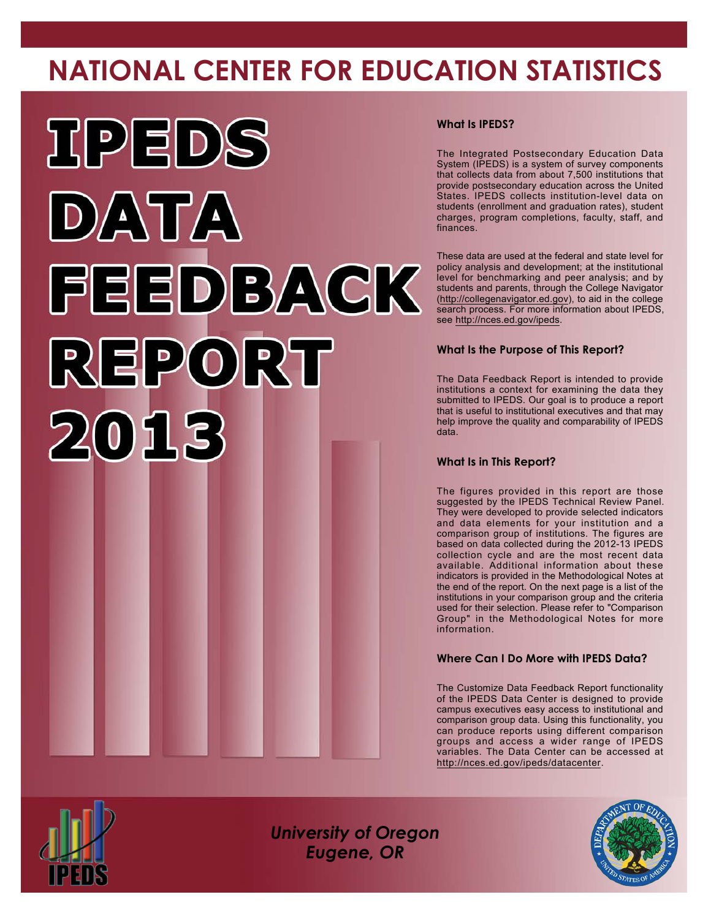# **NATIONAL CENTER FOR EDUCATION STATISTICS**



### **What Is IPEDS?**

The Integrated Postsecondary Education Data System (IPEDS) is a system of survey components that collects data from about 7,500 institutions that provide postsecondary education across the United States. IPEDS collects institution-level data on students (enrollment and graduation rates), student charges, program completions, faculty, staff, and finances.

These data are used at the federal and state level for policy analysis and development; at the institutional level for benchmarking and peer analysis; and by students and parents, through the College Navigator [\(http://collegenavigator.ed.gov\)](http://collegenavigator.ed.gov), to aid in the college search process. For more information about IPEDS, see <http://nces.ed.gov/ipeds>.

### **What Is the Purpose of This Report?**

The Data Feedback Report is intended to provide institutions a context for examining the data they submitted to IPEDS. Our goal is to produce a report that is useful to institutional executives and that may help improve the quality and comparability of IPEDS data.

### **What Is in This Report?**

The figures provided in this report are those suggested by the IPEDS Technical Review Panel. They were developed to provide selected indicators and data elements for your institution and a comparison group of institutions. The figures are based on data collected during the 2012-13 IPEDS collection cycle and are the most recent data available. Additional information about these indicators is provided in the Methodological Notes at the end of the report. On the next page is a list of the institutions in your comparison group and the criteria used for their selection. Please refer to "Comparison Group" in the Methodological Notes for more information.

### **Where Can I Do More with IPEDS Data?**

The Customize Data Feedback Report functionality of the IPEDS Data Center is designed to provide campus executives easy access to institutional and comparison group data. Using this functionality, you can produce reports using different comparison groups and access a wider range of IPEDS variables. The Data Center can be accessed at <http://nces.ed.gov/ipeds/datacenter>.



*University of Oregon Eugene, OR*

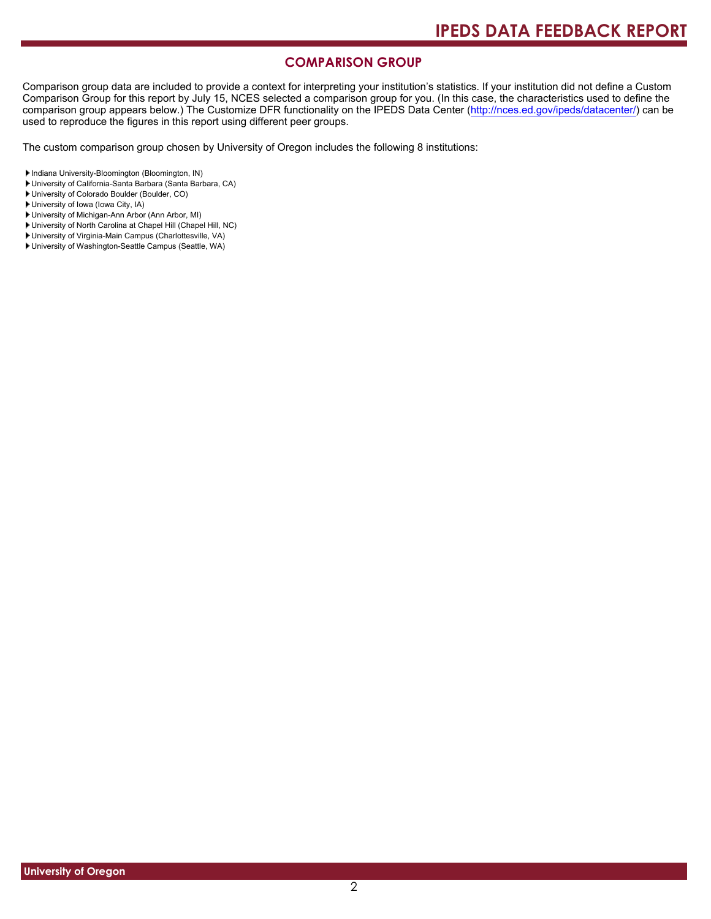# **COMPARISON GROUP**

Comparison group data are included to provide a context for interpreting your institution's statistics. If your institution did not define a Custom Comparison Group for this report by July 15, NCES selected a comparison group for you. (In this case, the characteristics used to define the comparison group appears below.) The Customize DFR functionality on the IPEDS Data Center [\(http://nces.ed.gov/ipeds/datacenter/\)](http://nces.ed.gov/ipeds/datacenter/) can be used to reproduce the figures in this report using different peer groups.

The custom comparison group chosen by University of Oregon includes the following 8 institutions:

Indiana University-Bloomington (Bloomington, IN)

- University of California-Santa Barbara (Santa Barbara, CA)
- University of Colorado Boulder (Boulder, CO)

University of Iowa (Iowa City, IA)

- University of Michigan-Ann Arbor (Ann Arbor, MI)
- University of North Carolina at Chapel Hill (Chapel Hill, NC)
- University of Virginia-Main Campus (Charlottesville, VA)
- University of Washington-Seattle Campus (Seattle, WA)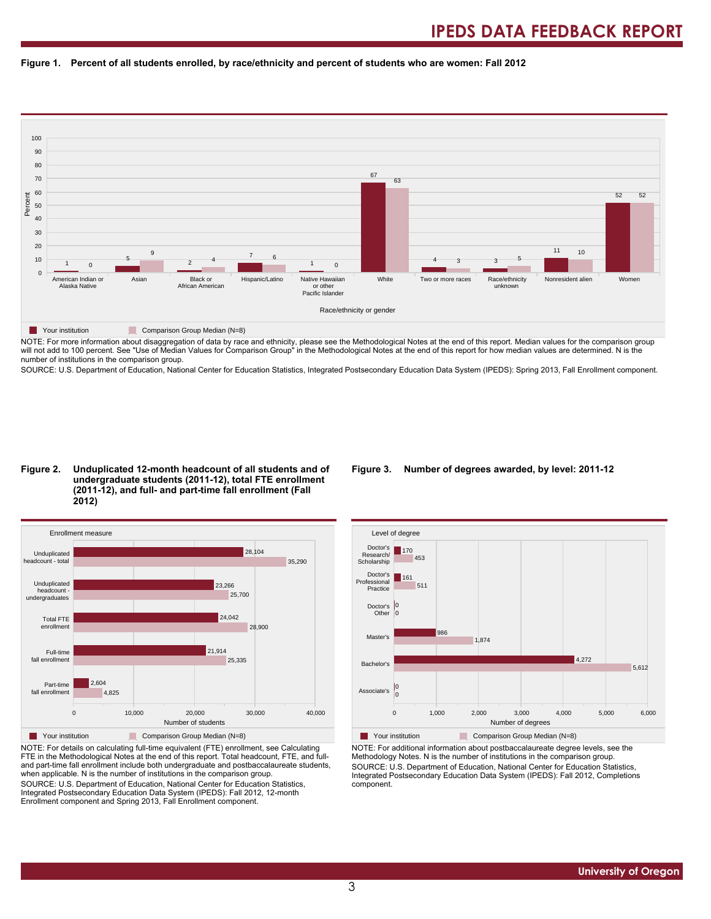#### **Figure 1. Percent of all students enrolled, by race/ethnicity and percent of students who are women: Fall 2012**



NOTE: For more information about disaggregation of data by race and ethnicity, please see the Methodological Notes at the end of this report. Median values for the comparison group will not add to 100 percent. See "Use of Median Values for Comparison Group" in the Methodological Notes at the end of this report for how median values are determined. N is the number of institutions in the comparison group.

SOURCE: U.S. Department of Education, National Center for Education Statistics, Integrated Postsecondary Education Data System (IPEDS): Spring 2013, Fall Enrollment component.

#### **Figure 2. Unduplicated 12-month headcount of all students and of undergraduate students (2011-12), total FTE enrollment (2011-12), and full- and part-time fall enrollment (Fall 2012)**



NOTE: For details on calculating full-time equivalent (FTE) enrollment, see Calculating FTE in the Methodological Notes at the end of this report. Total headcount, FTE, and fulland part-time fall enrollment include both undergraduate and postbaccalaureate students, when applicable. N is the number of institutions in the comparison group. SOURCE: U.S. Department of Education, National Center for Education Statistics, Integrated Postsecondary Education Data System (IPEDS): Fall 2012, 12-month Enrollment component and Spring 2013, Fall Enrollment component.

#### **Figure 3. Number of degrees awarded, by level: 2011-12**



NOTE: For additional information about postbaccalaureate degree levels, see the Methodology Notes. N is the number of institutions in the comparison group. SOURCE: U.S. Department of Education, National Center for Education Statistics, Integrated Postsecondary Education Data System (IPEDS): Fall 2012, Completions component.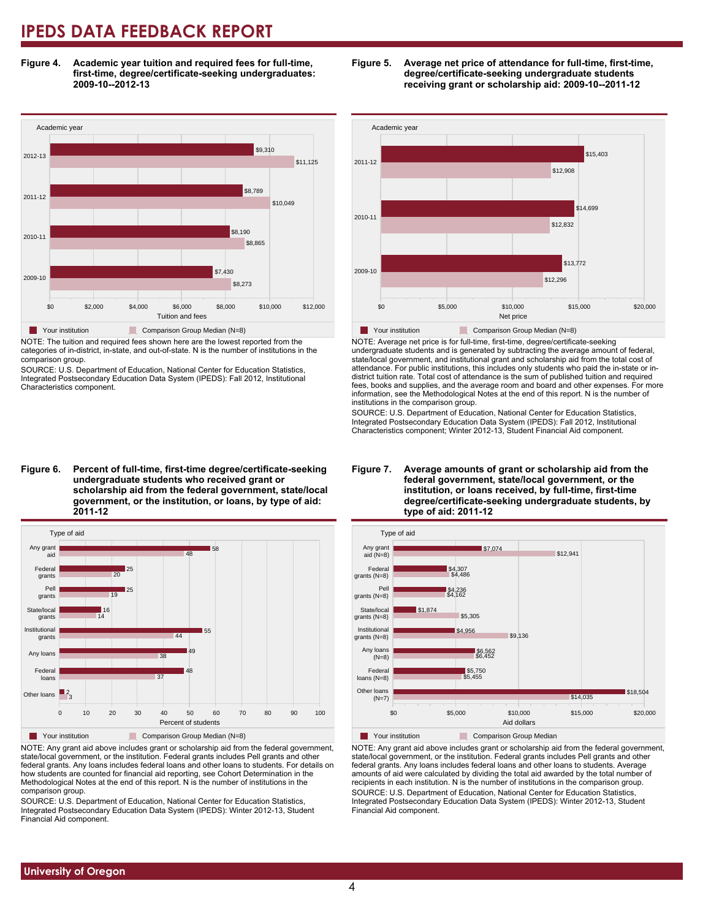**Figure 4. Academic year tuition and required fees for full-time, first-time, degree/certificate-seeking undergraduates: 2009-10--2012-13**



NOTE: The tuition and required fees shown here are the lowest reported from the categories of in-district, in-state, and out-of-state. N is the number of institutions in the comparison group.

SOURCE: U.S. Department of Education, National Center for Education Statistics, Integrated Postsecondary Education Data System (IPEDS): Fall 2012, Institutional Characteristics component.





NOTE: Average net price is for full-time, first-time, degree/certificate-seeking undergraduate students and is generated by subtracting the average amount of federal, state/local government, and institutional grant and scholarship aid from the total cost of attendance. For public institutions, this includes only students who paid the in-state or indistrict tuition rate. Total cost of attendance is the sum of published tuition and required fees, books and supplies, and the average room and board and other expenses. For more information, see the Methodological Notes at the end of this report. N is the number of institutions in the comparison group.

SOURCE: U.S. Department of Education, National Center for Education Statistics, Integrated Postsecondary Education Data System (IPEDS): Fall 2012, Institutional Characteristics component; Winter 2012-13, Student Financial Aid component.

**Figure 6. Percent of full-time, first-time degree/certificate-seeking undergraduate students who received grant or scholarship aid from the federal government, state/local government, or the institution, or loans, by type of aid: 2011-12**



NOTE: Any grant aid above includes grant or scholarship aid from the federal government, state/local government, or the institution. Federal grants includes Pell grants and other federal grants. Any loans includes federal loans and other loans to students. For details on how students are counted for financial aid reporting, see Cohort Determination in the Methodological Notes at the end of this report. N is the number of institutions in the comparison group.

SOURCE: U.S. Department of Education, National Center for Education Statistics, Integrated Postsecondary Education Data System (IPEDS): Winter 2012-13, Student Financial Aid component.

#### **Figure 7. Average amounts of grant or scholarship aid from the federal government, state/local government, or the institution, or loans received, by full-time, first-time degree/certificate-seeking undergraduate students, by type of aid: 2011-12**



NOTE: Any grant aid above includes grant or scholarship aid from the federal government, state/local government, or the institution. Federal grants includes Pell grants and other federal grants. Any loans includes federal loans and other loans to students. Average amounts of aid were calculated by dividing the total aid awarded by the total number of recipients in each institution. N is the number of institutions in the comparison group. SOURCE: U.S. Department of Education, National Center for Education Statistics, Integrated Postsecondary Education Data System (IPEDS): Winter 2012-13, Student Financial Aid component.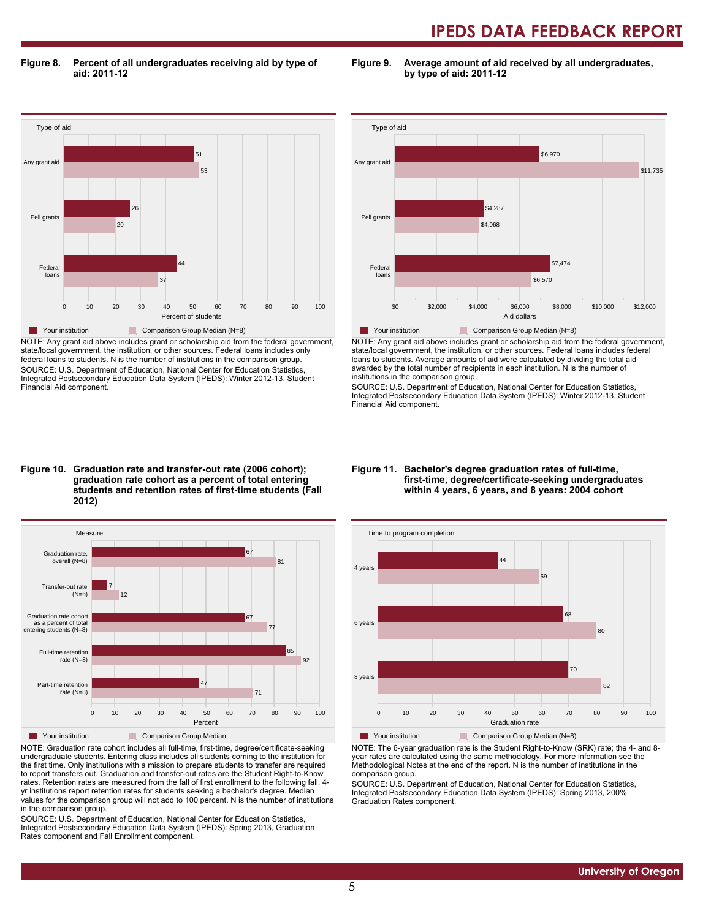**Figure 8. Percent of all undergraduates receiving aid by type of aid: 2011-12**

**Figure 9. Average amount of aid received by all undergraduates, by type of aid: 2011-12**



NOTE: Any grant aid above includes grant or scholarship aid from the federal government, state/local government, the institution, or other sources. Federal loans includes only federal loans to students. N is the number of institutions in the comparison group. SOURCE: U.S. Department of Education, National Center for Education Statistics, Integrated Postsecondary Education Data System (IPEDS): Winter 2012-13, Student Financial Aid component.



NOTE: Any grant aid above includes grant or scholarship aid from the federal government, state/local government, the institution, or other sources. Federal loans includes federal loans to students. Average amounts of aid were calculated by dividing the total aid awarded by the total number of recipients in each institution. N is the number of institutions in the comparison group.

SOURCE: U.S. Department of Education, National Center for Education Statistics, Integrated Postsecondary Education Data System (IPEDS): Winter 2012-13, Student Financial Aid component.

#### **Figure 10. Graduation rate and transfer-out rate (2006 cohort); graduation rate cohort as a percent of total entering students and retention rates of first-time students (Fall 2012)**



NOTE: Graduation rate cohort includes all full-time, first-time, degree/certificate-seeking undergraduate students. Entering class includes all students coming to the institution for the first time. Only institutions with a mission to prepare students to transfer are required to report transfers out. Graduation and transfer-out rates are the Student Right-to-Know rates. Retention rates are measured from the fall of first enrollment to the following fall. 4 yr institutions report retention rates for students seeking a bachelor's degree. Median values for the comparison group will not add to 100 percent. N is the number of institutions in the comparison group.

SOURCE: U.S. Department of Education, National Center for Education Statistics, Integrated Postsecondary Education Data System (IPEDS): Spring 2013, Graduation Rates component and Fall Enrollment component.

#### **Figure 11. Bachelor's degree graduation rates of full-time, first-time, degree/certificate-seeking undergraduates within 4 years, 6 years, and 8 years: 2004 cohort**



NOTE: The 6-year graduation rate is the Student Right-to-Know (SRK) rate; the 4- and 8 year rates are calculated using the same methodology. For more information see the Methodological Notes at the end of the report. N is the number of institutions in the comparison group.

SOURCE: U.S. Department of Education, National Center for Education Statistics, Integrated Postsecondary Education Data System (IPEDS): Spring 2013, 200% Graduation Rates component.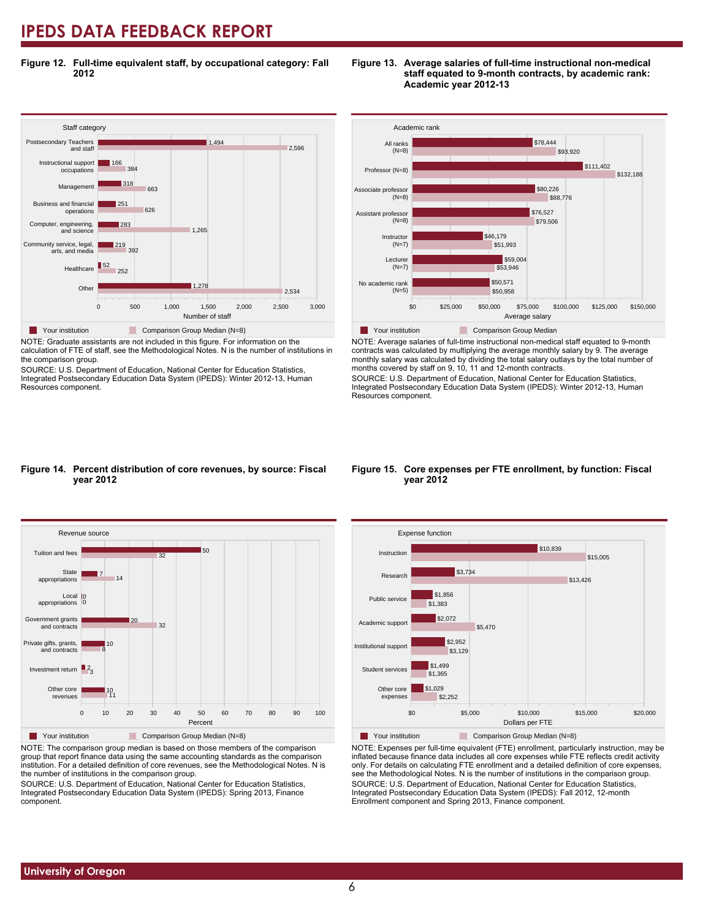**Figure 12. Full-time equivalent staff, by occupational category: Fall 2012**



NOTE: Graduate assistants are not included in this figure. For information on the calculation of FTE of staff, see the Methodological Notes. N is the number of institutions in the comparison group.

SOURCE: U.S. Department of Education, National Center for Education Statistics, Integrated Postsecondary Education Data System (IPEDS): Winter 2012-13, Human Resources component.





NOTE: Average salaries of full-time instructional non-medical staff equated to 9-month contracts was calculated by multiplying the average monthly salary by 9. The average monthly salary was calculated by dividing the total salary outlays by the total number of months covered by staff on 9, 10, 11 and 12-month contracts.

SOURCE: U.S. Department of Education, National Center for Education Statistics, Integrated Postsecondary Education Data System (IPEDS): Winter 2012-13, Human Resources component.

#### **Figure 14. Percent distribution of core revenues, by source: Fiscal year 2012**



NOTE: The comparison group median is based on those members of the comparison group that report finance data using the same accounting standards as the comparison institution. For a detailed definition of core revenues, see the Methodological Notes. N is the number of institutions in the comparison group.

SOURCE: U.S. Department of Education, National Center for Education Statistics, Integrated Postsecondary Education Data System (IPEDS): Spring 2013, Finance component.

#### **Figure 15. Core expenses per FTE enrollment, by function: Fiscal year 2012**



NOTE: Expenses per full-time equivalent (FTE) enrollment, particularly instruction, may be inflated because finance data includes all core expenses while FTE reflects credit activity only. For details on calculating FTE enrollment and a detailed definition of core expenses, see the Methodological Notes. N is the number of institutions in the comparison group. SOURCE: U.S. Department of Education, National Center for Education Statistics, Integrated Postsecondary Education Data System (IPEDS): Fall 2012, 12-month Enrollment component and Spring 2013, Finance component.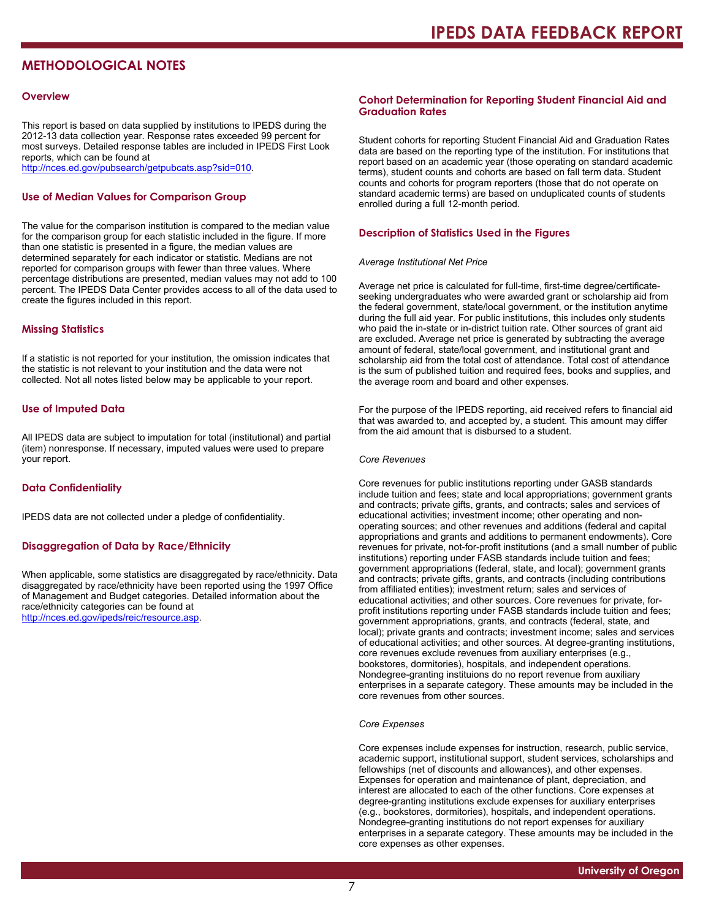# **METHODOLOGICAL NOTES**

#### **Overview**

This report is based on data supplied by institutions to IPEDS during the 2012-13 data collection year. Response rates exceeded 99 percent for most surveys. Detailed response tables are included in IPEDS First Look reports, which can be found at [http://nces.ed.gov/pubsearch/getpubcats.asp?sid=010.](http://nces.ed.gov/pubsearch/getpubcats.asp?sid=010)

#### **Use of Median Values for Comparison Group**

The value for the comparison institution is compared to the median value for the comparison group for each statistic included in the figure. If more than one statistic is presented in a figure, the median values are determined separately for each indicator or statistic. Medians are not reported for comparison groups with fewer than three values. Where percentage distributions are presented, median values may not add to 100 percent. The IPEDS Data Center provides access to all of the data used to create the figures included in this report.

#### **Missing Statistics**

If a statistic is not reported for your institution, the omission indicates that the statistic is not relevant to your institution and the data were not collected. Not all notes listed below may be applicable to your report.

#### **Use of Imputed Data**

All IPEDS data are subject to imputation for total (institutional) and partial (item) nonresponse. If necessary, imputed values were used to prepare your report.

#### **Data Confidentiality**

IPEDS data are not collected under a pledge of confidentiality.

#### **Disaggregation of Data by Race/Ethnicity**

When applicable, some statistics are disaggregated by race/ethnicity. Data disaggregated by race/ethnicity have been reported using the 1997 Office of Management and Budget categories. Detailed information about the race/ethnicity categories can be found at <http://nces.ed.gov/ipeds/reic/resource.asp>.

#### **Cohort Determination for Reporting Student Financial Aid and Graduation Rates**

Student cohorts for reporting Student Financial Aid and Graduation Rates data are based on the reporting type of the institution. For institutions that report based on an academic year (those operating on standard academic terms), student counts and cohorts are based on fall term data. Student counts and cohorts for program reporters (those that do not operate on standard academic terms) are based on unduplicated counts of students enrolled during a full 12-month period.

#### **Description of Statistics Used in the Figures**

#### *Average Institutional Net Price*

Average net price is calculated for full-time, first-time degree/certificateseeking undergraduates who were awarded grant or scholarship aid from the federal government, state/local government, or the institution anytime during the full aid year. For public institutions, this includes only students who paid the in-state or in-district tuition rate. Other sources of grant aid are excluded. Average net price is generated by subtracting the average amount of federal, state/local government, and institutional grant and scholarship aid from the total cost of attendance. Total cost of attendance is the sum of published tuition and required fees, books and supplies, and the average room and board and other expenses.

For the purpose of the IPEDS reporting, aid received refers to financial aid that was awarded to, and accepted by, a student. This amount may differ from the aid amount that is disbursed to a student.

#### *Core Revenues*

Core revenues for public institutions reporting under GASB standards include tuition and fees; state and local appropriations; government grants and contracts; private gifts, grants, and contracts; sales and services of educational activities; investment income; other operating and nonoperating sources; and other revenues and additions (federal and capital appropriations and grants and additions to permanent endowments). Core revenues for private, not-for-profit institutions (and a small number of public institutions) reporting under FASB standards include tuition and fees; government appropriations (federal, state, and local); government grants and contracts; private gifts, grants, and contracts (including contributions from affiliated entities); investment return; sales and services of educational activities; and other sources. Core revenues for private, forprofit institutions reporting under FASB standards include tuition and fees; government appropriations, grants, and contracts (federal, state, and local); private grants and contracts; investment income; sales and services of educational activities; and other sources. At degree-granting institutions, core revenues exclude revenues from auxiliary enterprises (e.g., bookstores, dormitories), hospitals, and independent operations. Nondegree-granting instituions do no report revenue from auxiliary enterprises in a separate category. These amounts may be included in the core revenues from other sources.

#### *Core Expenses*

Core expenses include expenses for instruction, research, public service, academic support, institutional support, student services, scholarships and fellowships (net of discounts and allowances), and other expenses. Expenses for operation and maintenance of plant, depreciation, and interest are allocated to each of the other functions. Core expenses at degree-granting institutions exclude expenses for auxiliary enterprises (e.g., bookstores, dormitories), hospitals, and independent operations. Nondegree-granting institutions do not report expenses for auxiliary enterprises in a separate category. These amounts may be included in the core expenses as other expenses.